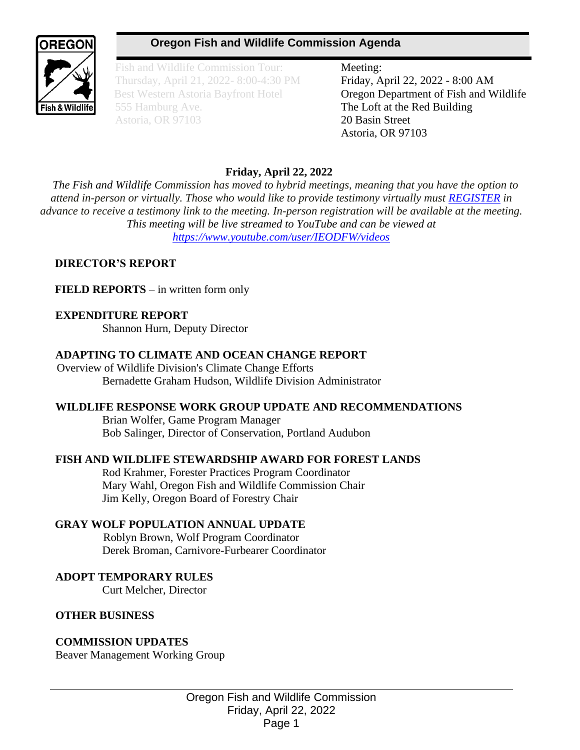# **Oregon Fish and Wildlife Commission Agenda**



Fish and Wildlife Commission Tour: Meeting: Thursday, April 21, 2022- 8:00-4:30 PM Friday, April 22, 2022 - 8:00 AM 555 Hamburg Ave. **The Loft at the Red Building** Astoria, OR 97103 20 Basin Street

Best Western Astoria Bayfront Hotel **Oregon Department of Fish and Wildlife** Astoria, OR 97103

# **Friday, April 22, 2022**

*The Fish and Wildlife Commission has moved to hybrid meetings, meaning that you have the option to attend in-person or virtually. Those who would like to provide testimony virtually must [REGISTER](https://www.zoomgov.com/webinar/register/WN_OjU8KUwMQJGgMyVe93emLg) in advance to receive a testimony link to the meeting. In-person registration will be available at the meeting. This meeting will be live streamed to YouTube and can be viewed at <https://www.youtube.com/user/IEODFW/videos>*

### **DIRECTOR'S REPORT**

**FIELD REPORTS** – in written form only

### **EXPENDITURE REPORT**

Shannon Hurn, Deputy Director

#### **ADAPTING TO CLIMATE AND OCEAN CHANGE REPORT**

 Overview of Wildlife Division's Climate Change Efforts Bernadette Graham Hudson, Wildlife Division Administrator

#### **WILDLIFE RESPONSE WORK GROUP UPDATE AND RECOMMENDATIONS**

Brian Wolfer, Game Program Manager Bob Salinger, Director of Conservation, Portland Audubon

#### **FISH AND WILDLIFE STEWARDSHIP AWARD FOR FOREST LANDS**

 Rod Krahmer, Forester Practices Program Coordinator Mary Wahl, Oregon Fish and Wildlife Commission Chair Jim Kelly, Oregon Board of Forestry Chair

### **GRAY WOLF POPULATION ANNUAL UPDATE**

Roblyn Brown, Wolf Program Coordinator Derek Broman, Carnivore-Furbearer Coordinator

### **ADOPT TEMPORARY RULES**

Curt Melcher, Director

#### **OTHER BUSINESS**

### **COMMISSION UPDATES**

Beaver Management Working Group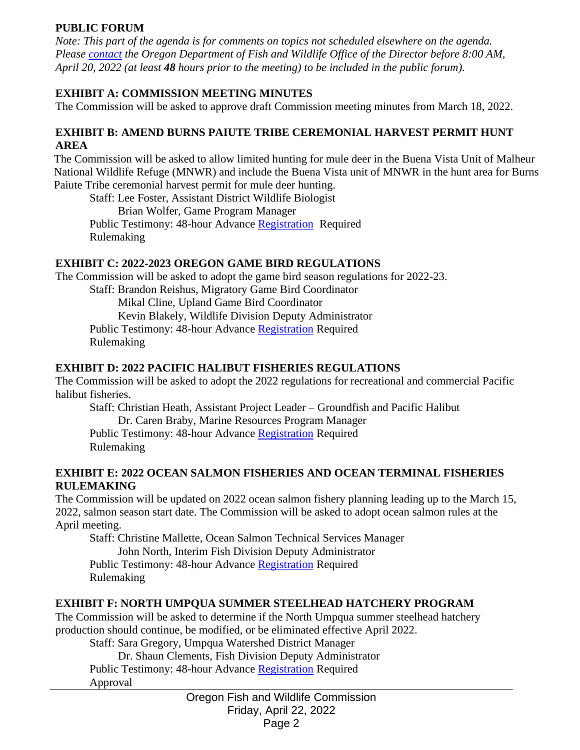#### **PUBLIC FORUM**

*Note: This part of the agenda is for comments on topics not scheduled elsewhere on the agenda. Please [contact](mailto:Michelle.L.Tate@odfw.oregon.gov) the Oregon Department of Fish and Wildlife Office of the Director before 8:00 AM, April 20, 2022 (at least 48 hours prior to the meeting) to be included in the public forum).*

### **EXHIBIT A: COMMISSION MEETING MINUTES**

The Commission will be asked to approve draft Commission meeting minutes from March 18, 2022.

#### **EXHIBIT B: AMEND BURNS PAIUTE TRIBE CEREMONIAL HARVEST PERMIT HUNT AREA**

The Commission will be asked to allow limited hunting for mule deer in the Buena Vista Unit of Malheur National Wildlife Refuge (MNWR) and include the Buena Vista unit of MNWR in the hunt area for Burns Paiute Tribe ceremonial harvest permit for mule deer hunting.

Staff: Lee Foster, Assistant District Wildlife Biologist

Brian Wolfer, Game Program Manager

Public Testimony: 48-hour Advance [Registration](https://www.zoomgov.com/webinar/register/WN_OjU8KUwMQJGgMyVe93emLg) Required Rulemaking

### **EXHIBIT C: 2022-2023 OREGON GAME BIRD REGULATIONS**

The Commission will be asked to adopt the game bird season regulations for 2022-23.

Staff: Brandon Reishus, Migratory Game Bird Coordinator

Mikal Cline, Upland Game Bird Coordinator

Kevin Blakely, Wildlife Division Deputy Administrator

Public Testimony: 48-hour Advance [Registration](https://www.zoomgov.com/webinar/register/WN_OjU8KUwMQJGgMyVe93emLg) Required Rulemaking

### **EXHIBIT D: 2022 PACIFIC HALIBUT FISHERIES REGULATIONS**

The Commission will be asked to adopt the 2022 regulations for recreational and commercial Pacific halibut fisheries.

Staff: Christian Heath, Assistant Project Leader – Groundfish and Pacific Halibut

Dr. Caren Braby, Marine Resources Program Manager

Public Testimony: 48-hour Advance [Registration](https://www.zoomgov.com/webinar/register/WN_OjU8KUwMQJGgMyVe93emLg) Required Rulemaking

#### **EXHIBIT E: 2022 OCEAN SALMON FISHERIES AND OCEAN TERMINAL FISHERIES RULEMAKING**

The Commission will be updated on 2022 ocean salmon fishery planning leading up to the March 15, 2022, salmon season start date. The Commission will be asked to adopt ocean salmon rules at the April meeting.

Staff: Christine Mallette, Ocean Salmon Technical Services Manager John North, Interim Fish Division Deputy Administrator Public Testimony: 48-hour Advance [Registration](https://www.zoomgov.com/webinar/register/WN_OjU8KUwMQJGgMyVe93emLg) Required Rulemaking

### **EXHIBIT F: NORTH UMPQUA SUMMER STEELHEAD HATCHERY PROGRAM**

The Commission will be asked to determine if the North Umpqua summer steelhead hatchery production should continue, be modified, or be eliminated effective April 2022.

Staff: Sara Gregory, Umpqua Watershed District Manager

 Dr. Shaun Clements, Fish Division Deputy Administrator Public Testimony: 48-hour Advance [Registration](https://www.zoomgov.com/webinar/register/WN_OjU8KUwMQJGgMyVe93emLg) Required

Approval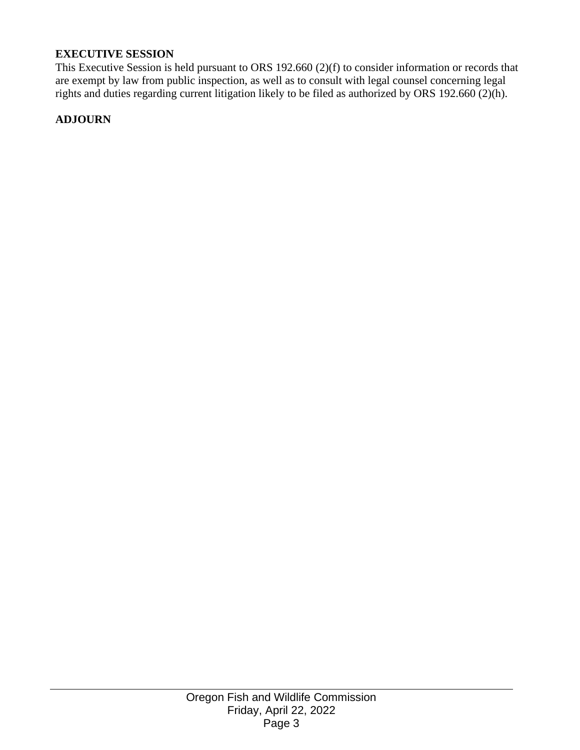### **EXECUTIVE SESSION**

This Executive Session is held pursuant to ORS 192.660 (2)(f) to consider information or records that are exempt by law from public inspection, as well as to consult with legal counsel concerning legal rights and duties regarding current litigation likely to be filed as authorized by ORS 192.660 (2)(h).

#### **ADJOURN**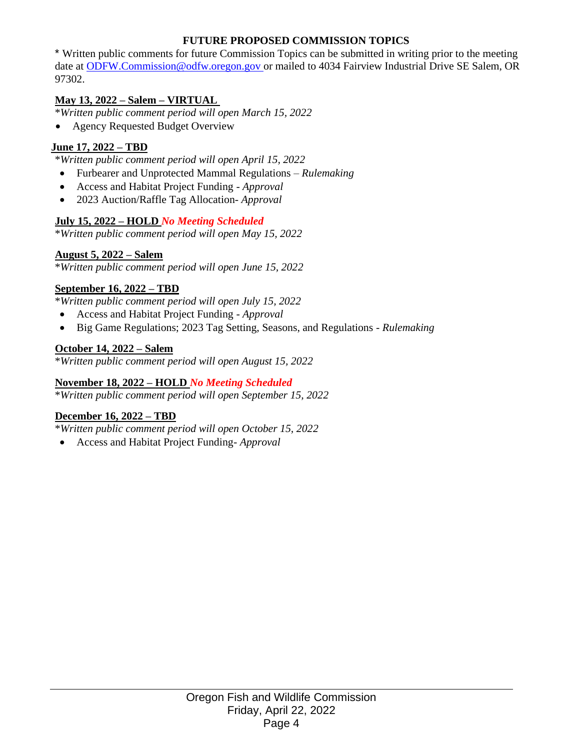### **FUTURE PROPOSED COMMISSION TOPICS**

\* Written public comments for future Commission Topics can be submitted in writing prior to the meeting date at [ODFW.Commission@odfw.oregon.gov o](mailto:ODFW.Commission@odfw.oregon.gov)r mailed to 4034 Fairview Industrial Drive SE Salem, OR 97302.

#### **May 13, 2022 – Salem – VIRTUAL**

\**Written public comment period will open March 15, 2022*

• Agency Requested Budget Overview

#### **June 17, 2022 – TBD**

\**Written public comment period will open April 15, 2022*

- Furbearer and Unprotected Mammal Regulations *– Rulemaking*
- Access and Habitat Project Funding *Approval*
- 2023 Auction/Raffle Tag Allocation*- Approval*

#### **July 15, 2022 – HOLD** *No Meeting Scheduled*

\**Written public comment period will open May 15, 2022*

#### **August 5, 2022 – Salem**

\**Written public comment period will open June 15, 2022*

#### **September 16, 2022 – TBD**

\**Written public comment period will open July 15, 2022*

- Access and Habitat Project Funding *Approval*
- Big Game Regulations; 2023 Tag Setting, Seasons, and Regulations *Rulemaking*

#### **October 14, 2022 – Salem**

\**Written public comment period will open August 15, 2022*

#### **November 18, 2022 – HOLD** *No Meeting Scheduled*

\**Written public comment period will open September 15, 2022*

#### **December 16, 2022 – TBD**

\**Written public comment period will open October 15, 2022*

• Access and Habitat Project Funding- *Approval*